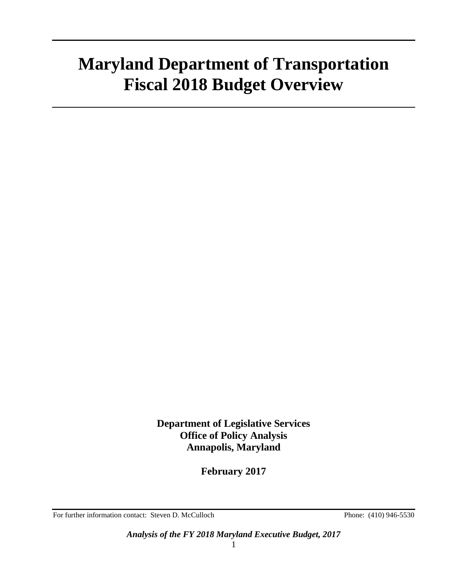# **Maryland Department of Transportation Fiscal 2018 Budget Overview**

**Department of Legislative Services Office of Policy Analysis Annapolis, Maryland**

**February 2017**

For further information contact: Steven D. McCulloch Phone: (410) 946-5530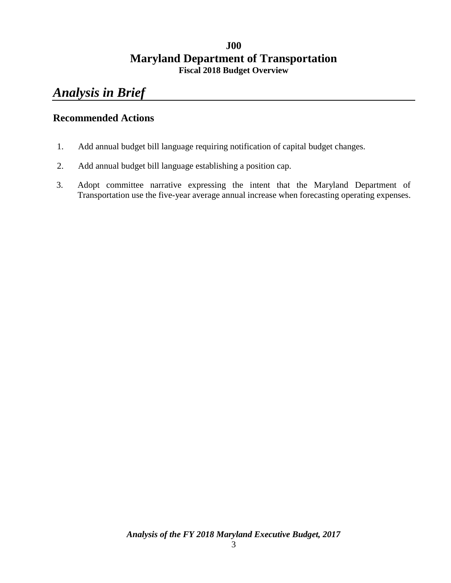### **J00 Maryland Department of Transportation Fiscal 2018 Budget Overview**

# *Analysis in Brief*

### **Recommended Actions**

- 1. Add annual budget bill language requiring notification of capital budget changes.
- 2. Add annual budget bill language establishing a position cap.
- 3. Adopt committee narrative expressing the intent that the Maryland Department of Transportation use the five-year average annual increase when forecasting operating expenses.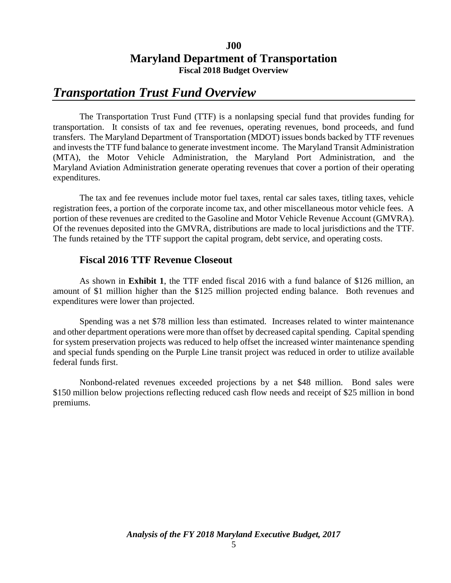### **J00 Maryland Department of Transportation Fiscal 2018 Budget Overview**

## *Transportation Trust Fund Overview*

The Transportation Trust Fund (TTF) is a nonlapsing special fund that provides funding for transportation. It consists of tax and fee revenues, operating revenues, bond proceeds, and fund transfers. The Maryland Department of Transportation (MDOT) issues bonds backed by TTF revenues and invests the TTF fund balance to generate investment income. The Maryland Transit Administration (MTA), the Motor Vehicle Administration, the Maryland Port Administration, and the Maryland Aviation Administration generate operating revenues that cover a portion of their operating expenditures.

The tax and fee revenues include motor fuel taxes, rental car sales taxes, titling taxes, vehicle registration fees, a portion of the corporate income tax, and other miscellaneous motor vehicle fees. A portion of these revenues are credited to the Gasoline and Motor Vehicle Revenue Account (GMVRA). Of the revenues deposited into the GMVRA, distributions are made to local jurisdictions and the TTF. The funds retained by the TTF support the capital program, debt service, and operating costs.

### **Fiscal 2016 TTF Revenue Closeout**

As shown in **Exhibit 1**, the TTF ended fiscal 2016 with a fund balance of \$126 million, an amount of \$1 million higher than the \$125 million projected ending balance. Both revenues and expenditures were lower than projected.

Spending was a net \$78 million less than estimated. Increases related to winter maintenance and other department operations were more than offset by decreased capital spending. Capital spending for system preservation projects was reduced to help offset the increased winter maintenance spending and special funds spending on the Purple Line transit project was reduced in order to utilize available federal funds first.

Nonbond-related revenues exceeded projections by a net \$48 million. Bond sales were \$150 million below projections reflecting reduced cash flow needs and receipt of \$25 million in bond premiums.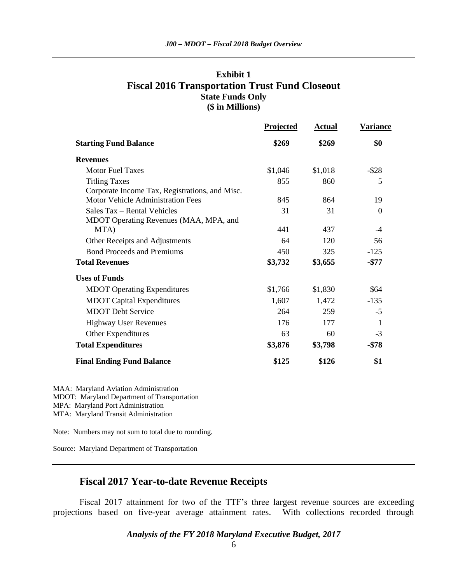### **Exhibit 1 Fiscal 2016 Transportation Trust Fund Closeout State Funds Only (\$ in Millions)**

|                                                                        | <b>Projected</b> | <b>Actual</b> | <b>Variance</b> |
|------------------------------------------------------------------------|------------------|---------------|-----------------|
| <b>Starting Fund Balance</b>                                           | \$269            | \$269         | \$0             |
| <b>Revenues</b>                                                        |                  |               |                 |
| <b>Motor Fuel Taxes</b>                                                | \$1,046          | \$1,018       | $-$ \$28        |
| <b>Titling Taxes</b><br>Corporate Income Tax, Registrations, and Misc. | 855              | 860           | 5               |
| <b>Motor Vehicle Administration Fees</b>                               | 845              | 864           | 19              |
| Sales Tax – Rental Vehicles<br>MDOT Operating Revenues (MAA, MPA, and  | 31               | 31            | $\Omega$        |
| MTA)                                                                   | 441              | 437           | -4              |
| Other Receipts and Adjustments                                         | 64               | 120           | 56              |
| <b>Bond Proceeds and Premiums</b>                                      | 450              | 325           | $-125$          |
| <b>Total Revenues</b>                                                  | \$3,732          | \$3,655       | $-\$77$         |
| <b>Uses of Funds</b>                                                   |                  |               |                 |
| <b>MDOT</b> Operating Expenditures                                     | \$1,766          | \$1,830       | \$64            |
| <b>MDOT Capital Expenditures</b>                                       | 1,607            | 1,472         | $-135$          |
| <b>MDOT</b> Debt Service                                               | 264              | 259           | $-5$            |
| <b>Highway User Revenues</b>                                           | 176              | 177           | 1               |
| Other Expenditures                                                     | 63               | 60            | $-3$            |
| <b>Total Expenditures</b>                                              | \$3,876          | \$3,798       | $-$ \$78        |
| <b>Final Ending Fund Balance</b>                                       | \$125            | \$126         | \$1             |
|                                                                        |                  |               |                 |

MAA: Maryland Aviation Administration

MDOT: Maryland Department of Transportation

MPA: Maryland Port Administration

MTA: Maryland Transit Administration

Note: Numbers may not sum to total due to rounding.

Source: Maryland Department of Transportation

### **Fiscal 2017 Year-to-date Revenue Receipts**

Fiscal 2017 attainment for two of the TTF's three largest revenue sources are exceeding projections based on five-year average attainment rates. With collections recorded through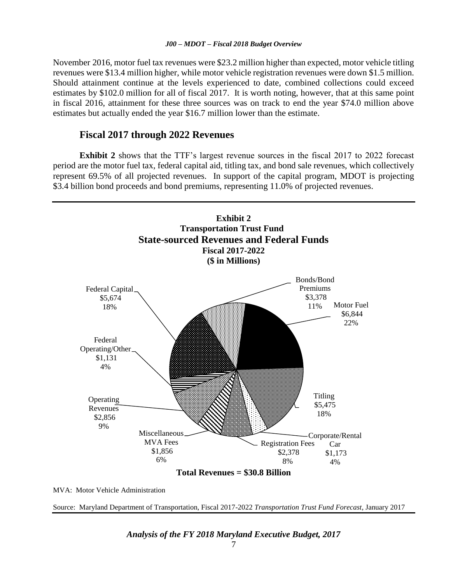November 2016, motor fuel tax revenues were \$23.2 million higher than expected, motor vehicle titling revenues were \$13.4 million higher, while motor vehicle registration revenues were down \$1.5 million. Should attainment continue at the levels experienced to date, combined collections could exceed estimates by \$102.0 million for all of fiscal 2017. It is worth noting, however, that at this same point in fiscal 2016, attainment for these three sources was on track to end the year \$74.0 million above estimates but actually ended the year \$16.7 million lower than the estimate.

### **Fiscal 2017 through 2022 Revenues**

**Exhibit 2** shows that the TTF's largest revenue sources in the fiscal 2017 to 2022 forecast period are the motor fuel tax, federal capital aid, titling tax, and bond sale revenues, which collectively represent 69.5% of all projected revenues. In support of the capital program, MDOT is projecting \$3.4 billion bond proceeds and bond premiums, representing 11.0% of projected revenues.



MVA: Motor Vehicle Administration

Source: Maryland Department of Transportation, Fiscal 2017-2022 *Transportation Trust Fund Forecast,* January 2017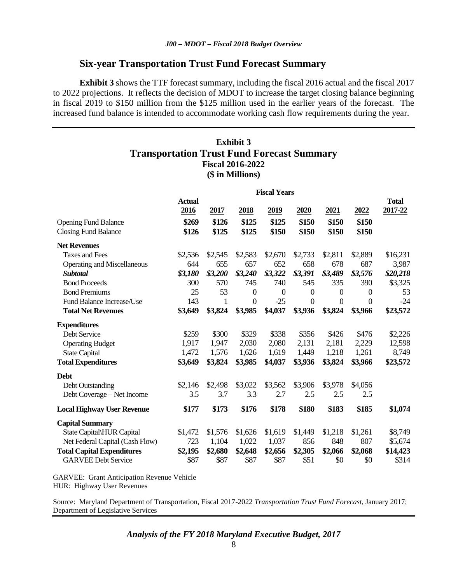### **Six-year Transportation Trust Fund Forecast Summary**

**Exhibit 3** shows the TTF forecast summary, including the fiscal 2016 actual and the fiscal 2017 to 2022 projections. It reflects the decision of MDOT to increase the target closing balance beginning in fiscal 2019 to \$150 million from the \$125 million used in the earlier years of the forecast. The increased fund balance is intended to accommodate working cash flow requirements during the year.

### **Exhibit 3 Transportation Trust Fund Forecast Summary Fiscal 2016-2022 (\$ in Millions)**

|                                    | <b>Fiscal Years</b> |         |              |              |                  |              |                  |          |
|------------------------------------|---------------------|---------|--------------|--------------|------------------|--------------|------------------|----------|
|                                    | <b>Actual</b>       |         |              |              |                  |              |                  | Total    |
|                                    | 2016                | 2017    | 2018         | 2019         | 2020             | 2021         | 2022             | 2017-22  |
| <b>Opening Fund Balance</b>        | \$269               | \$126   | \$125        | \$125        | \$150            | \$150        | \$150            |          |
| <b>Closing Fund Balance</b>        | \$126               | \$125   | \$125        | \$150        | \$150            | \$150        | \$150            |          |
| <b>Net Revenues</b>                |                     |         |              |              |                  |              |                  |          |
| <b>Taxes and Fees</b>              | \$2,536             | \$2,545 | \$2,583      | \$2,670      | \$2,733          | \$2,811      | \$2,889          | \$16,231 |
| <b>Operating and Miscellaneous</b> | 644                 | 655     | 657          | 652          | 658              | 678          | 687              | 3,987    |
| <b>Subtotal</b>                    | \$3,180             | \$3,200 | \$3,240      | \$3,322      | \$3,391          | \$3,489      | \$3,576          | \$20,218 |
| <b>Bond Proceeds</b>               | 300                 | 570     | 745          | 740          | 545              | 335          | 390              | \$3,325  |
| <b>Bond Premiums</b>               | 25                  | 53      | $\mathbf{0}$ | $\mathbf{0}$ | $\boldsymbol{0}$ | $\theta$     | $\boldsymbol{0}$ | 53       |
| Fund Balance Increase/Use          | 143                 | 1       | $\mathbf{0}$ | $-25$        | $\mathbf{0}$     | $\mathbf{0}$ | $\overline{0}$   | $-24$    |
| <b>Total Net Revenues</b>          | \$3,649             | \$3,824 | \$3,985      | \$4,037      | \$3,936          | \$3,824      | \$3,966          | \$23,572 |
| <b>Expenditures</b>                |                     |         |              |              |                  |              |                  |          |
| Debt Service                       | \$259               | \$300   | \$329        | \$338        | \$356            | \$426        | \$476            | \$2,226  |
| <b>Operating Budget</b>            | 1,917               | 1,947   | 2,030        | 2,080        | 2,131            | 2,181        | 2,229            | 12,598   |
| <b>State Capital</b>               | 1,472               | 1,576   | 1,626        | 1,619        | 1,449            | 1,218        | 1,261            | 8,749    |
| <b>Total Expenditures</b>          | \$3,649             | \$3,824 | \$3,985      | \$4,037      | \$3,936          | \$3,824      | \$3,966          | \$23,572 |
| <b>Debt</b>                        |                     |         |              |              |                  |              |                  |          |
| <b>Debt Outstanding</b>            | \$2,146             | \$2,498 | \$3,022      | \$3,562      | \$3,906          | \$3,978      | \$4,056          |          |
| Debt Coverage - Net Income         | 3.5                 | 3.7     | 3.3          | 2.7          | 2.5              | 2.5          | 2.5              |          |
| <b>Local Highway User Revenue</b>  | \$177               | \$173   | \$176        | \$178        | \$180            | \$183        | \$185            | \$1,074  |
| <b>Capital Summary</b>             |                     |         |              |              |                  |              |                  |          |
| State Capital\HUR Capital          | \$1,472             | \$1,576 | \$1,626      | \$1,619      | \$1,449          | \$1,218      | \$1,261          | \$8,749  |
| Net Federal Capital (Cash Flow)    | 723                 | 1,104   | 1,022        | 1,037        | 856              | 848          | 807              | \$5,674  |
| <b>Total Capital Expenditures</b>  | \$2,195             | \$2,680 | \$2,648      | \$2,656      | \$2,305          | \$2,066      | \$2,068          | \$14,423 |
| <b>GARVEE Debt Service</b>         | \$87                | \$87    | \$87         | \$87         | \$51             | \$0          | \$0              | \$314    |

GARVEE: Grant Anticipation Revenue Vehicle HUR: Highway User Revenues

Source: Maryland Department of Transportation, Fiscal 2017-2022 *Transportation Trust Fund Forecast,* January 2017; Department of Legislative Services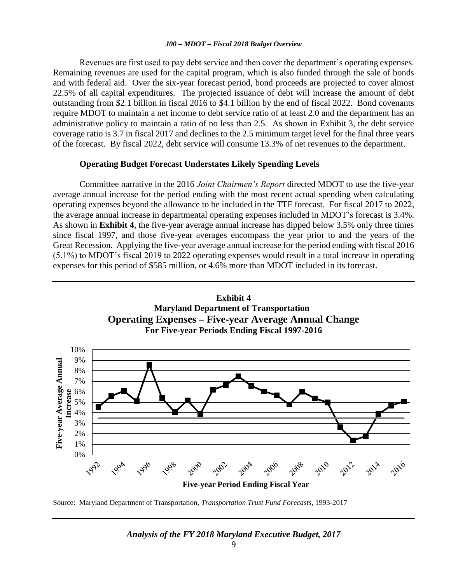Revenues are first used to pay debt service and then cover the department's operating expenses. Remaining revenues are used for the capital program, which is also funded through the sale of bonds and with federal aid. Over the six-year forecast period, bond proceeds are projected to cover almost 22.5% of all capital expenditures. The projected issuance of debt will increase the amount of debt outstanding from \$2.1 billion in fiscal 2016 to \$4.1 billion by the end of fiscal 2022. Bond covenants require MDOT to maintain a net income to debt service ratio of at least 2.0 and the department has an administrative policy to maintain a ratio of no less than 2.5. As shown in Exhibit 3, the debt service coverage ratio is 3.7 in fiscal 2017 and declines to the 2.5 minimum target level for the final three years of the forecast. By fiscal 2022, debt service will consume 13.3% of net revenues to the department.

### **Operating Budget Forecast Understates Likely Spending Levels**

Committee narrative in the 2016 *Joint Chairmen's Report* directed MDOT to use the five-year average annual increase for the period ending with the most recent actual spending when calculating operating expenses beyond the allowance to be included in the TTF forecast. For fiscal 2017 to 2022, the average annual increase in departmental operating expenses included in MDOT's forecast is 3.4%. As shown in **Exhibit 4**, the five-year average annual increase has dipped below 3.5% only three times since fiscal 1997, and those five-year averages encompass the year prior to and the years of the Great Recession. Applying the five-year average annual increase for the period ending with fiscal 2016 (5.1%) to MDOT's fiscal 2019 to 2022 operating expenses would result in a total increase in operating expenses for this period of \$585 million, or 4.6% more than MDOT included in its forecast.



Source: Maryland Department of Transportation, *Transportation Trust Fund Forecasts*, 1993-2017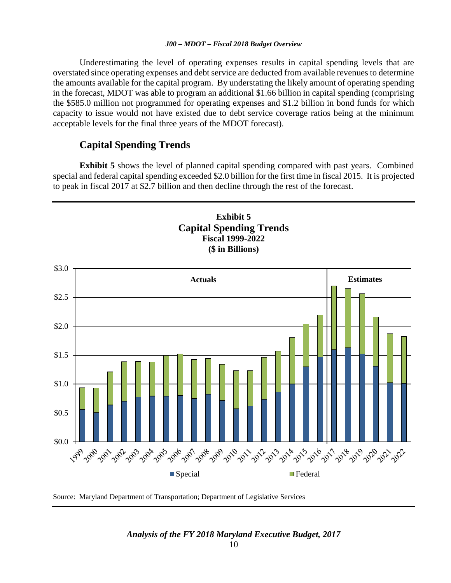Underestimating the level of operating expenses results in capital spending levels that are overstated since operating expenses and debt service are deducted from available revenues to determine the amounts available for the capital program. By understating the likely amount of operating spending in the forecast, MDOT was able to program an additional \$1.66 billion in capital spending (comprising the \$585.0 million not programmed for operating expenses and \$1.2 billion in bond funds for which capacity to issue would not have existed due to debt service coverage ratios being at the minimum acceptable levels for the final three years of the MDOT forecast).

### **Capital Spending Trends**

**Exhibit 5** shows the level of planned capital spending compared with past years. Combined special and federal capital spending exceeded \$2.0 billion for the first time in fiscal 2015. It is projected to peak in fiscal 2017 at \$2.7 billion and then decline through the rest of the forecast.



Source: Maryland Department of Transportation; Department of Legislative Services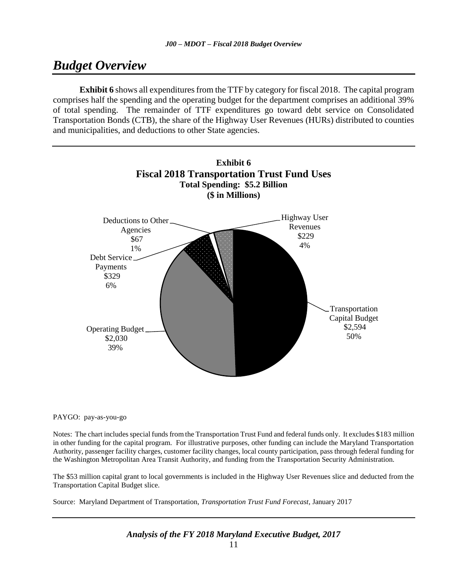# *Budget Overview*

**Exhibit 6** shows all expenditures from the TTF by category for fiscal 2018. The capital program comprises half the spending and the operating budget for the department comprises an additional 39% of total spending. The remainder of TTF expenditures go toward debt service on Consolidated Transportation Bonds (CTB), the share of the Highway User Revenues (HURs) distributed to counties and municipalities, and deductions to other State agencies.



#### PAYGO: pay-as-you-go

Notes: The chart includes special funds from the Transportation Trust Fund and federal funds only. It excludes \$183 million in other funding for the capital program. For illustrative purposes, other funding can include the Maryland Transportation Authority, passenger facility charges, customer facility changes, local county participation, pass through federal funding for the Washington Metropolitan Area Transit Authority, and funding from the Transportation Security Administration.

The \$53 million capital grant to local governments is included in the Highway User Revenues slice and deducted from the Transportation Capital Budget slice.

Source: Maryland Department of Transportation, *Transportation Trust Fund Forecast*, January 2017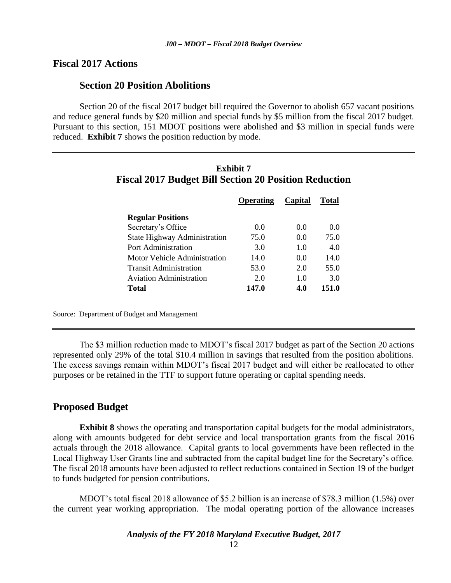### **Fiscal 2017 Actions**

### **Section 20 Position Abolitions**

Section 20 of the fiscal 2017 budget bill required the Governor to abolish 657 vacant positions and reduce general funds by \$20 million and special funds by \$5 million from the fiscal 2017 budget. Pursuant to this section, 151 MDOT positions were abolished and \$3 million in special funds were reduced. **Exhibit 7** shows the position reduction by mode.

|                                | Operating | Capital | <b>Total</b> |
|--------------------------------|-----------|---------|--------------|
| <b>Regular Positions</b>       |           |         |              |
| Secretary's Office             | 0.0       | 0.0     | 0.0          |
| State Highway Administration   | 75.0      | 0.0     | 75.0         |
| Port Administration            | 3.0       | 10      | 4.0          |
| Motor Vehicle Administration   | 14.0      | 0.0     | 14.0         |
| <b>Transit Administration</b>  | 53.0      | 2.0     | 55.0         |
| <b>Aviation Administration</b> | 20        | 1.0     | 3.0          |
| Total                          | 147.0     | 4.0     | 151.0        |

| Exhibit 7                                             |  |  |
|-------------------------------------------------------|--|--|
| Fiscal 2017 Budget Bill Section 20 Position Reduction |  |  |

Source: Department of Budget and Management

The \$3 million reduction made to MDOT's fiscal 2017 budget as part of the Section 20 actions represented only 29% of the total \$10.4 million in savings that resulted from the position abolitions. The excess savings remain within MDOT's fiscal 2017 budget and will either be reallocated to other purposes or be retained in the TTF to support future operating or capital spending needs.

### **Proposed Budget**

**Exhibit 8** shows the operating and transportation capital budgets for the modal administrators, along with amounts budgeted for debt service and local transportation grants from the fiscal 2016 actuals through the 2018 allowance. Capital grants to local governments have been reflected in the Local Highway User Grants line and subtracted from the capital budget line for the Secretary's office. The fiscal 2018 amounts have been adjusted to reflect reductions contained in Section 19 of the budget to funds budgeted for pension contributions.

MDOT's total fiscal 2018 allowance of \$5.2 billion is an increase of \$78.3 million (1.5%) over the current year working appropriation. The modal operating portion of the allowance increases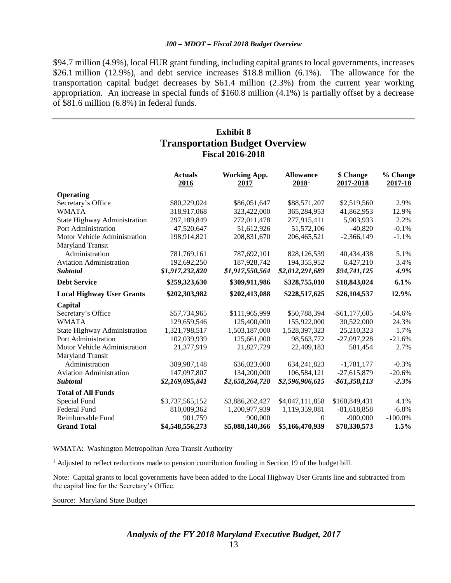\$94.7 million (4.9%), local HUR grant funding, including capital grants to local governments, increases \$26.1 million (12.9%), and debt service increases \$18.8 million (6.1%). The allowance for the transportation capital budget decreases by \$61.4 million (2.3%) from the current year working appropriation. An increase in special funds of \$160.8 million (4.1%) is partially offset by a decrease of \$81.6 million (6.8%) in federal funds.

### **Exhibit 8 Transportation Budget Overview Fiscal 2016-2018**

|                                     | <b>Actuals</b><br>2016 | <b>Working App.</b><br>2017 | <b>Allowance</b><br>2018 <sup>1</sup> | \$ Change<br>2017-2018 | % Change<br>2017-18 |
|-------------------------------------|------------------------|-----------------------------|---------------------------------------|------------------------|---------------------|
| Operating                           |                        |                             |                                       |                        |                     |
| Secretary's Office                  | \$80,229,024           | \$86,051,647                | \$88,571,207                          | \$2,519,560            | 2.9%                |
| <b>WMATA</b>                        | 318,917,068            | 323,422,000                 | 365,284,953                           | 41,862,953             | 12.9%               |
| <b>State Highway Administration</b> | 297,189,849            | 272,011,478                 | 277,915,411                           | 5,903,933              | 2.2%                |
| Port Administration                 | 47,520,647             | 51,612,926                  | 51,572,106                            | $-40,820$              | $-0.1%$             |
| Motor Vehicle Administration        | 198,914,821            | 208,831,670                 | 206,465,521                           | $-2,366,149$           | $-1.1%$             |
| Maryland Transit                    |                        |                             |                                       |                        |                     |
| Administration                      | 781,769,161            | 787,692,101                 | 828,126,539                           | 40,434,438             | 5.1%                |
| <b>Aviation Administration</b>      | 192,692,250            | 187,928,742                 | 194, 355, 952                         | 6,427,210              | 3.4%                |
| <b>Subtotal</b>                     | \$1,917,232,820        | \$1,917,550,564             | \$2,012,291,689                       | \$94,741,125           | 4.9%                |
| <b>Debt Service</b>                 | \$259,323,630          | \$309,911,986               | \$328,755,010                         | \$18,843,024           | 6.1%                |
| <b>Local Highway User Grants</b>    | \$202,303,982          | \$202,413,088               | \$228,517,625                         | \$26,104,537           | 12.9%               |
| Capital                             |                        |                             |                                       |                        |                     |
| Secretary's Office                  | \$57,734,965           | \$111,965,999               | \$50,788,394                          | $-$ \$61,177,605       | $-54.6%$            |
| <b>WMATA</b>                        | 129,659,546            | 125,400,000                 | 155,922,000                           | 30,522,000             | 24.3%               |
| <b>State Highway Administration</b> | 1,321,798,517          | 1,503,187,000               | 1,528,397,323                         | 25,210,323             | 1.7%                |
| Port Administration                 | 102,039,939            | 125,661,000                 | 98,563,772                            | $-27,097,228$          | $-21.6%$            |
| Motor Vehicle Administration        | 21,377,919             | 21,827,729                  | 22,409,183                            | 581,454                | 2.7%                |
| Maryland Transit                    |                        |                             |                                       |                        |                     |
| Administration                      | 389,987,148            | 636,023,000                 | 634, 241, 823                         | $-1,781,177$           | $-0.3%$             |
| <b>Aviation Administration</b>      | 147,097,807            | 134,200,000                 | 106,584,121                           | $-27,615,879$          | $-20.6%$            |
| <b>Subtotal</b>                     | \$2,169,695,841        | \$2,658,264,728             | \$2,596,906,615                       | -\$61,358,113          | $-2.3%$             |
| <b>Total of All Funds</b>           |                        |                             |                                       |                        |                     |
| Special Fund                        | \$3,737,565,152        | \$3,886,262,427             | \$4,047,111,858                       | \$160,849,431          | 4.1%                |
| Federal Fund                        | 810,089,362            | 1,200,977,939               | 1,119,359,081                         | $-81,618,858$          | $-6.8%$             |
| Reimbursable Fund                   | 901,759                | 900,000                     | $\Omega$                              | $-900,000$             | $-100.0\%$          |
| <b>Grand Total</b>                  | \$4,548,556,273        | \$5,088,140,366             | \$5,166,470,939                       | \$78,330,573           | 1.5%                |

WMATA: Washington Metropolitan Area Transit Authority

<sup>1</sup> Adjusted to reflect reductions made to pension contribution funding in Section 19 of the budget bill.

Note: Capital grants to local governments have been added to the Local Highway User Grants line and subtracted from the capital line for the Secretary's Office.

Source: Maryland State Budget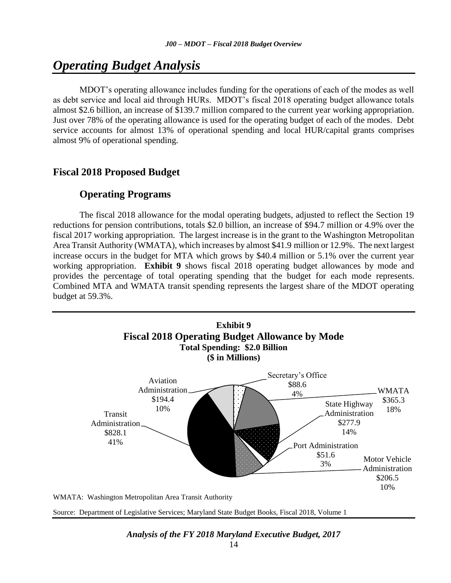# *Operating Budget Analysis*

MDOT's operating allowance includes funding for the operations of each of the modes as well as debt service and local aid through HURs. MDOT's fiscal 2018 operating budget allowance totals almost \$2.6 billion, an increase of \$139.7 million compared to the current year working appropriation. Just over 78% of the operating allowance is used for the operating budget of each of the modes. Debt service accounts for almost 13% of operational spending and local HUR/capital grants comprises almost 9% of operational spending.

### **Fiscal 2018 Proposed Budget**

### **Operating Programs**

The fiscal 2018 allowance for the modal operating budgets, adjusted to reflect the Section 19 reductions for pension contributions, totals \$2.0 billion, an increase of \$94.7 million or 4.9% over the fiscal 2017 working appropriation. The largest increase is in the grant to the Washington Metropolitan Area Transit Authority (WMATA), which increases by almost \$41.9 million or 12.9%. The next largest increase occurs in the budget for MTA which grows by \$40.4 million or 5.1% over the current year working appropriation. **Exhibit 9** shows fiscal 2018 operating budget allowances by mode and provides the percentage of total operating spending that the budget for each mode represents. Combined MTA and WMATA transit spending represents the largest share of the MDOT operating budget at 59.3%.



WMATA: Washington Metropolitan Area Transit Authority

Source: Department of Legislative Services; Maryland State Budget Books, Fiscal 2018, Volume 1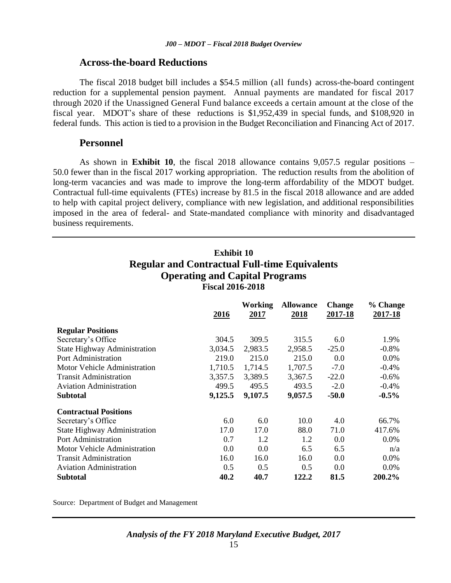### **Across-the-board Reductions**

The fiscal 2018 budget bill includes a \$54.5 million (all funds) across-the-board contingent reduction for a supplemental pension payment. Annual payments are mandated for fiscal 2017 through 2020 if the Unassigned General Fund balance exceeds a certain amount at the close of the fiscal year. MDOT's share of these reductions is \$1,952,439 in special funds, and \$108,920 in federal funds. This action is tied to a provision in the Budget Reconciliation and Financing Act of 2017.

### **Personnel**

As shown in **Exhibit 10**, the fiscal 2018 allowance contains 9,057.5 regular positions – 50.0 fewer than in the fiscal 2017 working appropriation. The reduction results from the abolition of long-term vacancies and was made to improve the long-term affordability of the MDOT budget. Contractual full-time equivalents (FTEs) increase by 81.5 in the fiscal 2018 allowance and are added to help with capital project delivery, compliance with new legislation, and additional responsibilities imposed in the area of federal- and State-mandated compliance with minority and disadvantaged business requirements.

**Exhibit 10**

| <b>Regular and Contractual Full-time Equivalents</b><br><b>Operating and Capital Programs</b><br><b>Fiscal 2016-2018</b> |             |                        |                                 |                          |                            |
|--------------------------------------------------------------------------------------------------------------------------|-------------|------------------------|---------------------------------|--------------------------|----------------------------|
|                                                                                                                          | <u>2016</u> | Working<br><u>2017</u> | <b>Allowance</b><br><u>2018</u> | <b>Change</b><br>2017-18 | % Change<br><u>2017-18</u> |
| <b>Regular Positions</b>                                                                                                 |             |                        |                                 |                          |                            |
| Secretary's Office                                                                                                       | 304.5       | 309.5                  | 315.5                           | 6.0                      | 1.9%                       |
| <b>State Highway Administration</b>                                                                                      | 3,034.5     | 2,983.5                | 2,958.5                         | $-25.0$                  | $-0.8%$                    |
| Port Administration                                                                                                      | 219.0       | 215.0                  | 215.0                           | 0.0                      | 0.0%                       |
| <b>Motor Vehicle Administration</b>                                                                                      | 1,710.5     | 1,714.5                | 1,707.5                         | $-7.0$                   | $-0.4%$                    |
| <b>Transit Administration</b>                                                                                            | 3,357.5     | 3,389.5                | 3,367.5                         | $-22.0$                  | $-0.6%$                    |
| <b>Aviation Administration</b>                                                                                           | 499.5       | 495.5                  | 493.5                           | $-2.0$                   | $-0.4%$                    |
| Subtotal                                                                                                                 | 9,125.5     | 9,107.5                | 9,057.5                         | $-50.0$                  | $-0.5\%$                   |
| <b>Contractual Positions</b>                                                                                             |             |                        |                                 |                          |                            |
| Secretary's Office                                                                                                       | 6.0         | 6.0                    | 10.0                            | 4.0                      | 66.7%                      |
| <b>State Highway Administration</b>                                                                                      | 17.0        | 17.0                   | 88.0                            | 71.0                     | 417.6%                     |
| Port Administration                                                                                                      | 0.7         | 1.2                    | 1.2                             | 0.0                      | 0.0%                       |
| <b>Motor Vehicle Administration</b>                                                                                      | 0.0         | 0.0                    | 6.5                             | 6.5                      | n/a                        |
| <b>Transit Administration</b>                                                                                            | 16.0        | 16.0                   | 16.0                            | 0.0                      | 0.0%                       |
| <b>Aviation Administration</b>                                                                                           | 0.5         | 0.5                    | 0.5                             | 0.0                      | 0.0%                       |
| Subtotal                                                                                                                 | 40.2        | 40.7                   | 122.2                           | 81.5                     | 200.2%                     |

Source: Department of Budget and Management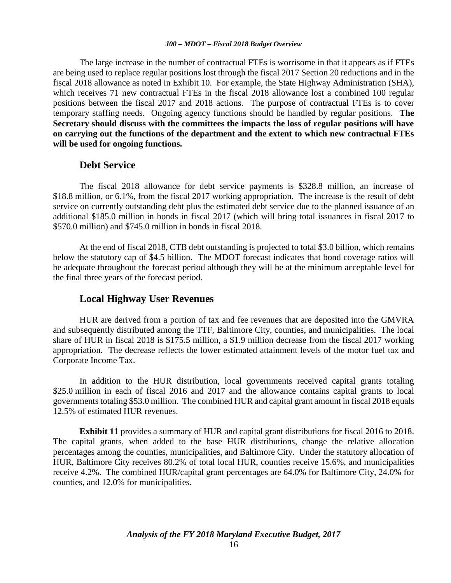The large increase in the number of contractual FTEs is worrisome in that it appears as if FTEs are being used to replace regular positions lost through the fiscal 2017 Section 20 reductions and in the fiscal 2018 allowance as noted in Exhibit 10. For example, the State Highway Administration (SHA), which receives 71 new contractual FTEs in the fiscal 2018 allowance lost a combined 100 regular positions between the fiscal 2017 and 2018 actions. The purpose of contractual FTEs is to cover temporary staffing needs. Ongoing agency functions should be handled by regular positions. **The Secretary should discuss with the committees the impacts the loss of regular positions will have on carrying out the functions of the department and the extent to which new contractual FTEs will be used for ongoing functions.** 

### **Debt Service**

The fiscal 2018 allowance for debt service payments is \$328.8 million, an increase of \$18.8 million, or 6.1%, from the fiscal 2017 working appropriation. The increase is the result of debt service on currently outstanding debt plus the estimated debt service due to the planned issuance of an additional \$185.0 million in bonds in fiscal 2017 (which will bring total issuances in fiscal 2017 to \$570.0 million) and \$745.0 million in bonds in fiscal 2018.

At the end of fiscal 2018, CTB debt outstanding is projected to total \$3.0 billion, which remains below the statutory cap of \$4.5 billion. The MDOT forecast indicates that bond coverage ratios will be adequate throughout the forecast period although they will be at the minimum acceptable level for the final three years of the forecast period.

### **Local Highway User Revenues**

HUR are derived from a portion of tax and fee revenues that are deposited into the GMVRA and subsequently distributed among the TTF, Baltimore City, counties, and municipalities. The local share of HUR in fiscal 2018 is \$175.5 million, a \$1.9 million decrease from the fiscal 2017 working appropriation. The decrease reflects the lower estimated attainment levels of the motor fuel tax and Corporate Income Tax.

In addition to the HUR distribution, local governments received capital grants totaling \$25.0 million in each of fiscal 2016 and 2017 and the allowance contains capital grants to local governments totaling \$53.0 million. The combined HUR and capital grant amount in fiscal 2018 equals 12.5% of estimated HUR revenues.

**Exhibit 11** provides a summary of HUR and capital grant distributions for fiscal 2016 to 2018. The capital grants, when added to the base HUR distributions, change the relative allocation percentages among the counties, municipalities, and Baltimore City. Under the statutory allocation of HUR, Baltimore City receives 80.2% of total local HUR, counties receive 15.6%, and municipalities receive 4.2%. The combined HUR/capital grant percentages are 64.0% for Baltimore City, 24.0% for counties, and 12.0% for municipalities.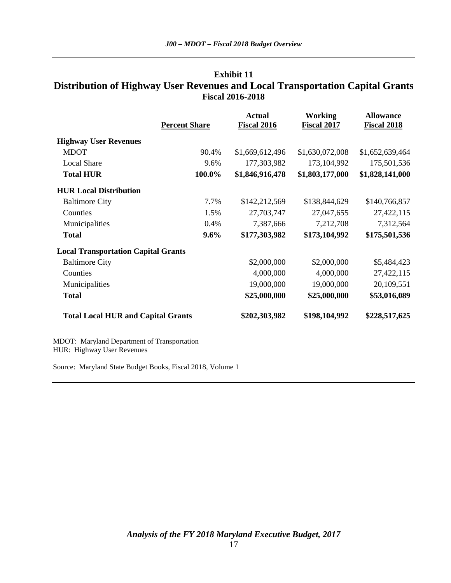### **Exhibit 11 Distribution of Highway User Revenues and Local Transportation Capital Grants Fiscal 2016-2018**

| <b>Percent Share</b> | <b>Actual</b><br><b>Fiscal 2016</b>                                                     | <b>Working</b><br><b>Fiscal 2017</b> | <b>Allowance</b><br><b>Fiscal 2018</b> |
|----------------------|-----------------------------------------------------------------------------------------|--------------------------------------|----------------------------------------|
|                      |                                                                                         |                                      |                                        |
| 90.4%                | \$1,669,612,496                                                                         | \$1,630,072,008                      | \$1,652,639,464                        |
| 9.6%                 | 177,303,982                                                                             | 173, 104, 992                        | 175,501,536                            |
| 100.0%               | \$1,846,916,478                                                                         | \$1,803,177,000                      | \$1,828,141,000                        |
|                      |                                                                                         |                                      |                                        |
| 7.7%                 | \$142,212,569                                                                           | \$138,844,629                        | \$140,766,857                          |
| 1.5%                 | 27,703,747                                                                              | 27,047,655                           | 27,422,115                             |
| 0.4%                 | 7,387,666                                                                               | 7,212,708                            | 7,312,564                              |
| $9.6\%$              | \$177,303,982                                                                           | \$173,104,992                        | \$175,501,536                          |
|                      |                                                                                         |                                      |                                        |
|                      | \$2,000,000                                                                             | \$2,000,000                          | \$5,484,423                            |
|                      | 4,000,000                                                                               | 4,000,000                            | 27,422,115                             |
|                      | 19,000,000                                                                              | 19,000,000                           | 20,109,551                             |
|                      | \$25,000,000                                                                            | \$25,000,000                         | \$53,016,089                           |
|                      | \$202,303,982                                                                           | \$198,104,992                        | \$228,517,625                          |
|                      | <b>Local Transportation Capital Grants</b><br><b>Total Local HUR and Capital Grants</b> |                                      |                                        |

MDOT: Maryland Department of Transportation HUR: Highway User Revenues

Source: Maryland State Budget Books, Fiscal 2018, Volume 1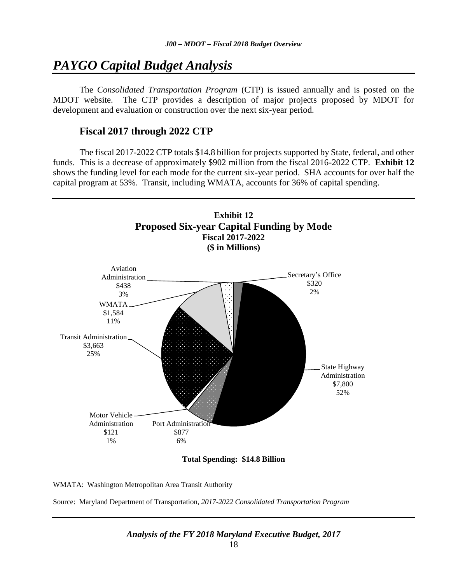# *PAYGO Capital Budget Analysis*

The *Consolidated Transportation Program* (CTP) is issued annually and is posted on the MDOT website. The CTP provides a description of major projects proposed by MDOT for development and evaluation or construction over the next six-year period.

### **Fiscal 2017 through 2022 CTP**

The fiscal 2017-2022 CTP totals \$14.8 billion for projects supported by State, federal, and other funds. This is a decrease of approximately \$902 million from the fiscal 2016-2022 CTP. **Exhibit 12** shows the funding level for each mode for the current six-year period. SHA accounts for over half the capital program at 53%. Transit, including WMATA, accounts for 36% of capital spending.



**Total Spending: \$14.8 Billion**

WMATA: Washington Metropolitan Area Transit Authority

Source: Maryland Department of Transportation, *2017-2022 Consolidated Transportation Program*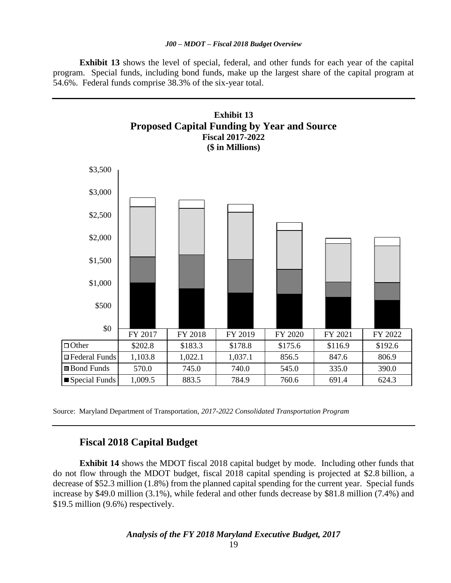**Exhibit 13** shows the level of special, federal, and other funds for each year of the capital program. Special funds, including bond funds, make up the largest share of the capital program at 54.6%. Federal funds comprise 38.3% of the six-year total.



Source: Maryland Department of Transportation, *2017-2022 Consolidated Transportation Program*

### **Fiscal 2018 Capital Budget**

**Exhibit 14** shows the MDOT fiscal 2018 capital budget by mode. Including other funds that do not flow through the MDOT budget, fiscal 2018 capital spending is projected at \$2.8 billion, a decrease of \$52.3 million (1.8%) from the planned capital spending for the current year. Special funds increase by \$49.0 million (3.1%), while federal and other funds decrease by \$81.8 million (7.4%) and \$19.5 million (9.6%) respectively.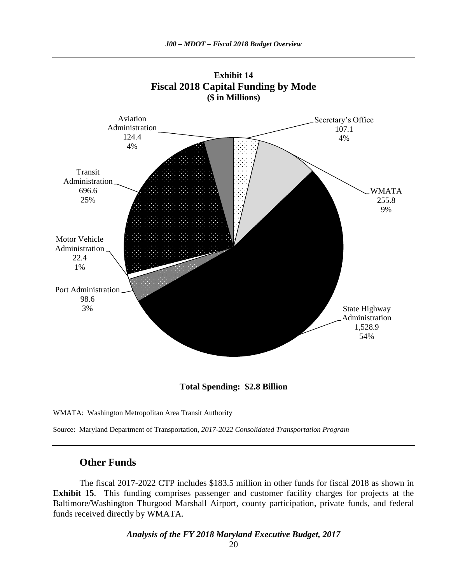



Source: Maryland Department of Transportation, *2017-2022 Consolidated Transportation Program*

### **Other Funds**

The fiscal 2017-2022 CTP includes \$183.5 million in other funds for fiscal 2018 as shown in **Exhibit 15**. This funding comprises passenger and customer facility charges for projects at the Baltimore/Washington Thurgood Marshall Airport, county participation, private funds, and federal funds received directly by WMATA.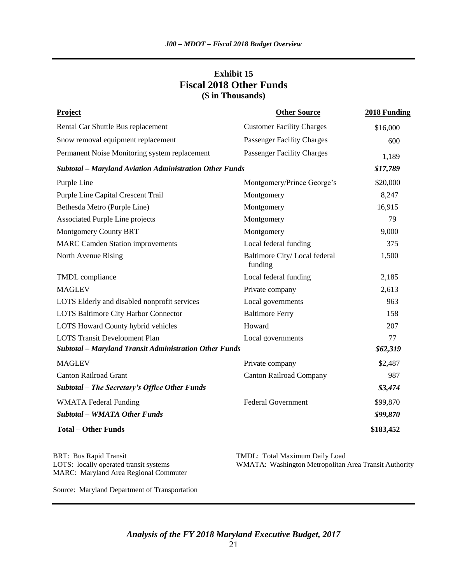### **Exhibit 15 Fiscal 2018 Other Funds (\$ in Thousands)**

| <b>Project</b>                                                 | <b>Other Source</b>                     | 2018 Funding |
|----------------------------------------------------------------|-----------------------------------------|--------------|
| Rental Car Shuttle Bus replacement                             | <b>Customer Facility Charges</b>        | \$16,000     |
| Snow removal equipment replacement                             | <b>Passenger Facility Charges</b>       | 600          |
| Permanent Noise Monitoring system replacement                  | Passenger Facility Charges              | 1,189        |
| <b>Subtotal - Maryland Aviation Administration Other Funds</b> |                                         | \$17,789     |
| Purple Line                                                    | Montgomery/Prince George's              | \$20,000     |
| Purple Line Capital Crescent Trail                             | Montgomery                              | 8,247        |
| Bethesda Metro (Purple Line)                                   | Montgomery                              | 16,915       |
| Associated Purple Line projects                                | Montgomery                              | 79           |
| <b>Montgomery County BRT</b>                                   | Montgomery                              | 9,000        |
| <b>MARC Camden Station improvements</b>                        | Local federal funding                   | 375          |
| North Avenue Rising                                            | Baltimore City/Local federal<br>funding | 1,500        |
| TMDL compliance                                                | Local federal funding                   | 2,185        |
| <b>MAGLEV</b>                                                  | Private company                         | 2,613        |
| LOTS Elderly and disabled nonprofit services                   | Local governments                       | 963          |
| LOTS Baltimore City Harbor Connector                           | <b>Baltimore Ferry</b>                  | 158          |
| LOTS Howard County hybrid vehicles                             | Howard                                  | 207          |
| <b>LOTS Transit Development Plan</b>                           | Local governments                       | 77           |
| Subtotal - Maryland Transit Administration Other Funds         |                                         | \$62,319     |
| <b>MAGLEV</b>                                                  | Private company                         | \$2,487      |
| <b>Canton Railroad Grant</b>                                   | <b>Canton Railroad Company</b>          | 987          |
| Subtotal – The Secretary's Office Other Funds                  |                                         | \$3,474      |
| <b>WMATA</b> Federal Funding                                   | <b>Federal Government</b>               | \$99,870     |
| <b>Subtotal - WMATA Other Funds</b>                            |                                         | \$99,870     |
| <b>Total - Other Funds</b>                                     |                                         | \$183,452    |

BRT: Bus Rapid Transit TMDL: Total Maximum Daily Load MARC: Maryland Area Regional Commuter

LOTS: locally operated transit systems WMATA: Washington Metropolitan Area Transit Authority

Source: Maryland Department of Transportation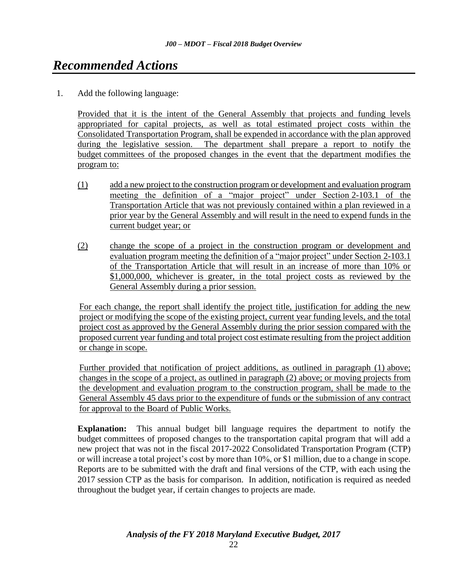# *Recommended Actions*

1. Add the following language:

Provided that it is the intent of the General Assembly that projects and funding levels appropriated for capital projects, as well as total estimated project costs within the Consolidated Transportation Program, shall be expended in accordance with the plan approved during the legislative session. The department shall prepare a report to notify the budget committees of the proposed changes in the event that the department modifies the program to:

- (1) add a new project to the construction program or development and evaluation program meeting the definition of a "major project" under Section 2-103.1 of the Transportation Article that was not previously contained within a plan reviewed in a prior year by the General Assembly and will result in the need to expend funds in the current budget year; or
- (2) change the scope of a project in the construction program or development and evaluation program meeting the definition of a "major project" under Section 2-103.1 of the Transportation Article that will result in an increase of more than 10% or \$1,000,000, whichever is greater, in the total project costs as reviewed by the General Assembly during a prior session.

For each change, the report shall identify the project title, justification for adding the new project or modifying the scope of the existing project, current year funding levels, and the total project cost as approved by the General Assembly during the prior session compared with the proposed current year funding and total project cost estimate resulting from the project addition or change in scope.

Further provided that notification of project additions, as outlined in paragraph (1) above; changes in the scope of a project, as outlined in paragraph (2) above; or moving projects from the development and evaluation program to the construction program, shall be made to the General Assembly 45 days prior to the expenditure of funds or the submission of any contract for approval to the Board of Public Works.

**Explanation:** This annual budget bill language requires the department to notify the budget committees of proposed changes to the transportation capital program that will add a new project that was not in the fiscal 2017-2022 Consolidated Transportation Program (CTP) or will increase a total project's cost by more than 10%, or \$1 million, due to a change in scope. Reports are to be submitted with the draft and final versions of the CTP, with each using the 2017 session CTP as the basis for comparison. In addition, notification is required as needed throughout the budget year, if certain changes to projects are made.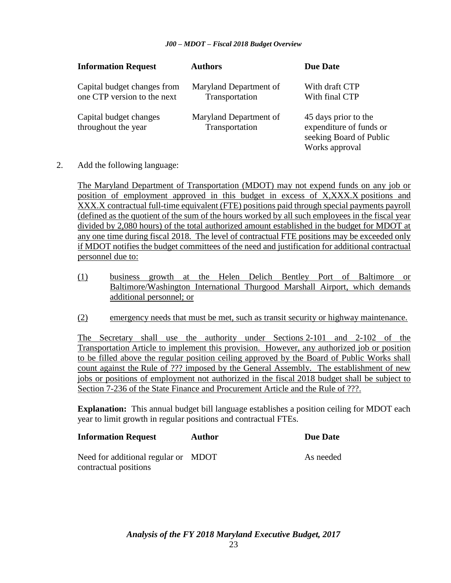| <b>Information Request</b>                                 | <b>Authors</b>                           | <b>Due Date</b>                                                                              |
|------------------------------------------------------------|------------------------------------------|----------------------------------------------------------------------------------------------|
| Capital budget changes from<br>one CTP version to the next | Maryland Department of<br>Transportation | With draft CTP<br>With final CTP                                                             |
| Capital budget changes<br>throughout the year              | Maryland Department of<br>Transportation | 45 days prior to the<br>expenditure of funds or<br>seeking Board of Public<br>Works approval |

2. Add the following language:

The Maryland Department of Transportation (MDOT) may not expend funds on any job or position of employment approved in this budget in excess of X,XXX.X positions and XXX.X contractual full-time equivalent (FTE) positions paid through special payments payroll (defined as the quotient of the sum of the hours worked by all such employees in the fiscal year divided by 2,080 hours) of the total authorized amount established in the budget for MDOT at any one time during fiscal 2018. The level of contractual FTE positions may be exceeded only if MDOT notifies the budget committees of the need and justification for additional contractual personnel due to:

- (1) business growth at the Helen Delich Bentley Port of Baltimore or Baltimore/Washington International Thurgood Marshall Airport, which demands additional personnel; or
- (2) emergency needs that must be met, such as transit security or highway maintenance.

The Secretary shall use the authority under Sections 2-101 and 2-102 of the Transportation Article to implement this provision. However, any authorized job or position to be filled above the regular position ceiling approved by the Board of Public Works shall count against the Rule of ??? imposed by the General Assembly. The establishment of new jobs or positions of employment not authorized in the fiscal 2018 budget shall be subject to Section 7-236 of the State Finance and Procurement Article and the Rule of ???.

**Explanation:** This annual budget bill language establishes a position ceiling for MDOT each year to limit growth in regular positions and contractual FTEs.

As needed

| <b>Information Request</b> | Author | <b>Due Date</b> |
|----------------------------|--------|-----------------|
|----------------------------|--------|-----------------|

Need for additional regular or MDOT contractual positions